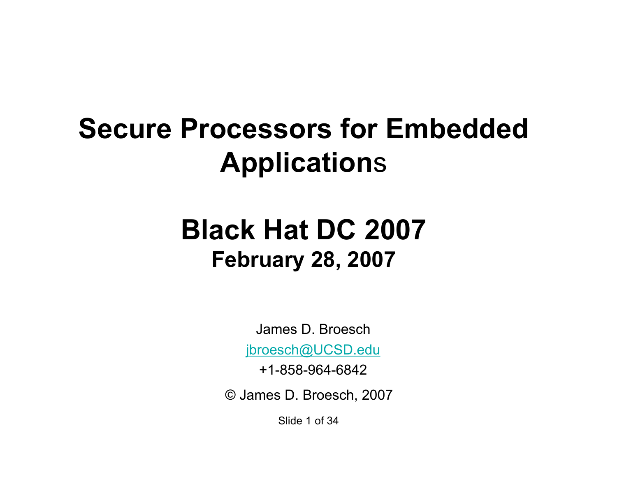### **Secure Processors for Embedded Application**s

### **Black Hat DC 2007 February 28, 2007**

James D. Broesch

jbroesch@UCSD.edu

+1-858-964-6842

© James D. Broesch, 2007

Slide 1 of 34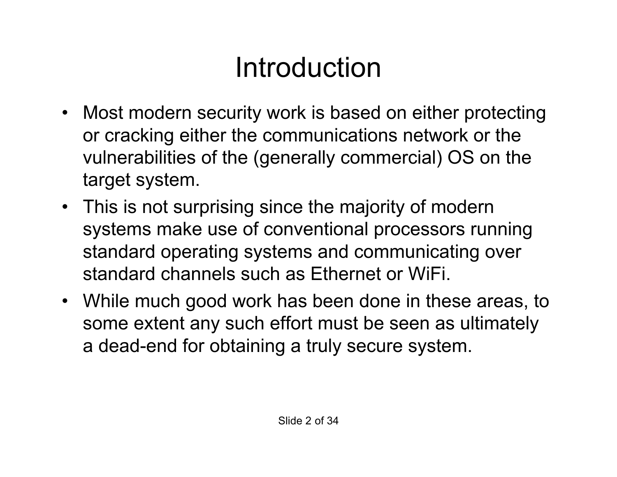# Introduction

- Most modern security work is based on either protecting or cracking either the communications network or the vulnerabilities of the (generally commercial) OS on the target system.
- This is not surprising since the majority of modern systems make use of conventional processors running standard operating systems and communicating over standard channels such as Ethernet or WiFi.
- While much good work has been done in these areas, to some extent any such effort must be seen as ultimately a dead-end for obtaining a truly secure system.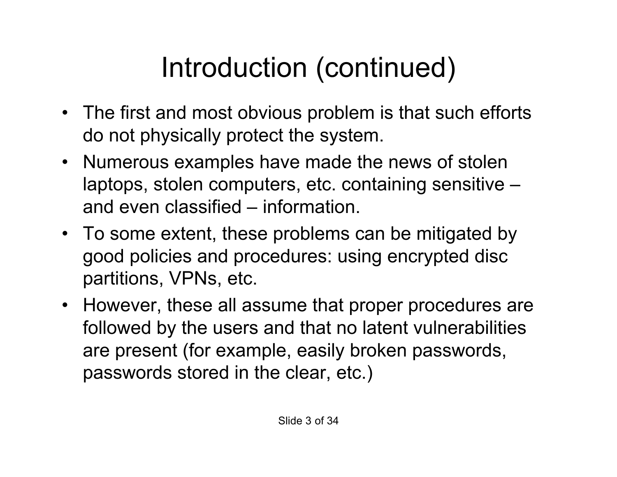# Introduction (continued)

- The first and most obvious problem is that such efforts do not physically protect the system.
- Numerous examples have made the news of stolen laptops, stolen computers, etc. containing sensitive – and even classified – information.
- To some extent, these problems can be mitigated by good policies and procedures: using encrypted disc partitions, VPNs, etc.
- However, these all assume that proper procedures are followed by the users and that no latent vulnerabilities are present (for example, easily broken passwords, passwords stored in the clear, etc.)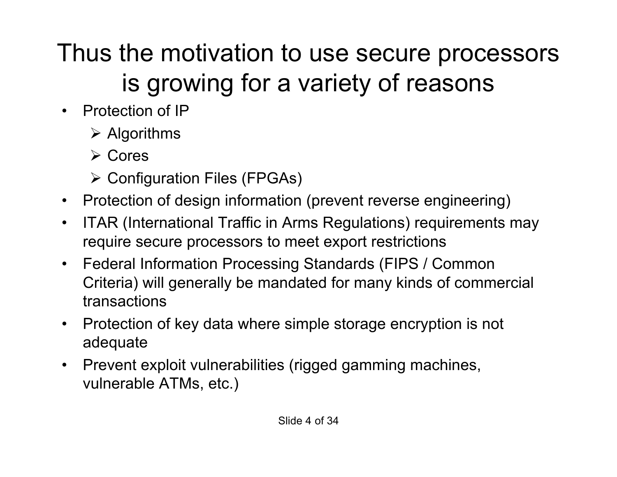### Thus the motivation to use secure processors is growing for a variety of reasons

- Protection of IP
	- $\triangleright$  Algorithms
	- **≻ Cores**
	- **≻ Configuration Files (FPGAs)**
- Protection of design information (prevent reverse engineering)
- ITAR (International Traffic in Arms Regulations) requirements may require secure processors to meet export restrictions
- Federal Information Processing Standards (FIPS / Common Criteria) will generally be mandated for many kinds of commercial transactions
- Protection of key data where simple storage encryption is not adequate
- Prevent exploit vulnerabilities (rigged gamming machines, vulnerable ATMs, etc.)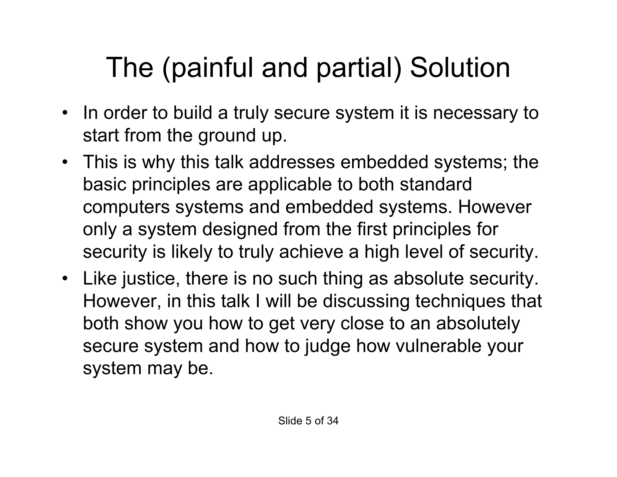# The (painful and partial) Solution

- In order to build a truly secure system it is necessary to start from the ground up.
- This is why this talk addresses embedded systems; the basic principles are applicable to both standard computers systems and embedded systems. However only a system designed from the first principles for security is likely to truly achieve a high level of security.
- Like justice, there is no such thing as absolute security. However, in this talk I will be discussing techniques that both show you how to get very close to an absolutely secure system and how to judge how vulnerable your system may be.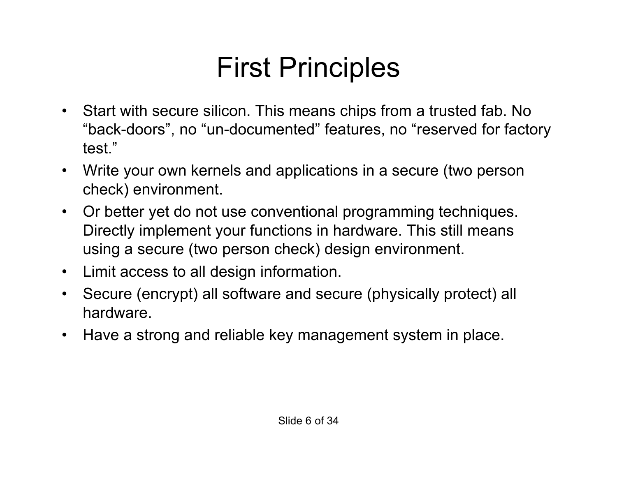## First Principles

- Start with secure silicon. This means chips from a trusted fab. No "back-doors" , no "un-documented" features, no "reserved for factory test."
- Write your own kernels and applications in a secure (two person check) environment.
- Or better yet do not use conventional programming techniques. Directly implement your functions in hardware. This still means using a secure (two person check) design environment.
- Limit access to all design information.
- Secure (encrypt) all software and secure (physically protect) all hardware.
- Have a strong and reliable key management system in place.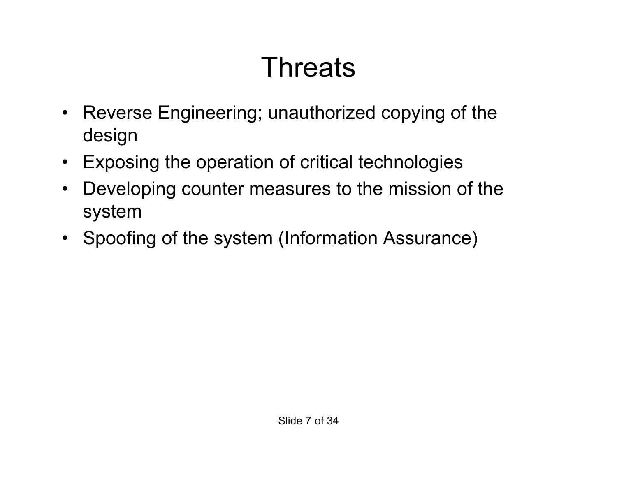# **Threats**

- Reverse Engineering; unauthorized copying of the design
- Exposing the operation of critical technologies
- Developing counter measures to the mission of the system
- Spoofing of the system (Information Assurance)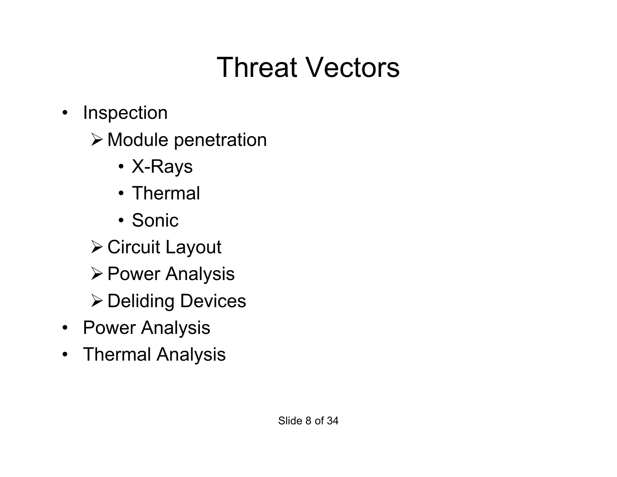## Threat Vectors

- Inspection
	- Module penetration
		- X-Rays
		- Thermal
		- Sonic
	- Circuit Layout
	- **≻ Power Analysis**
	- **≻ Deliding Devices**
- Power Analysis
- Thermal Analysis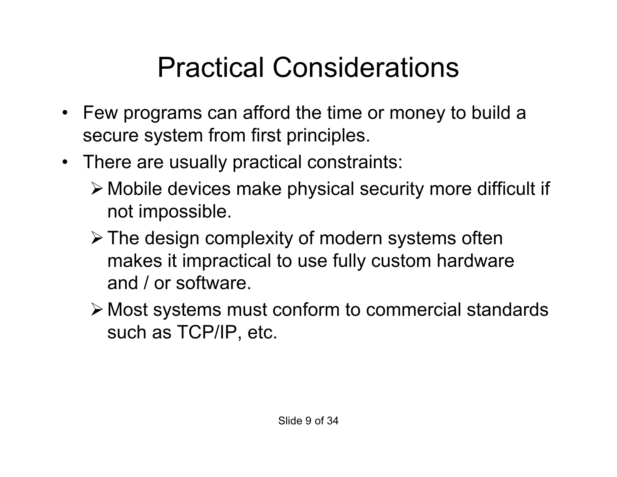## Practical Considerations

- Few programs can afford the time or money to build a secure system from first principles.
- There are usually practical constraints:
	- Mobile devices make physical security more difficult if not impossible.
	- $\triangleright$  The design complexity of modern systems often makes it impractical to use fully custom hardware and / or software.
	- Most systems must conform to commercial standards such as TCP/IP, etc.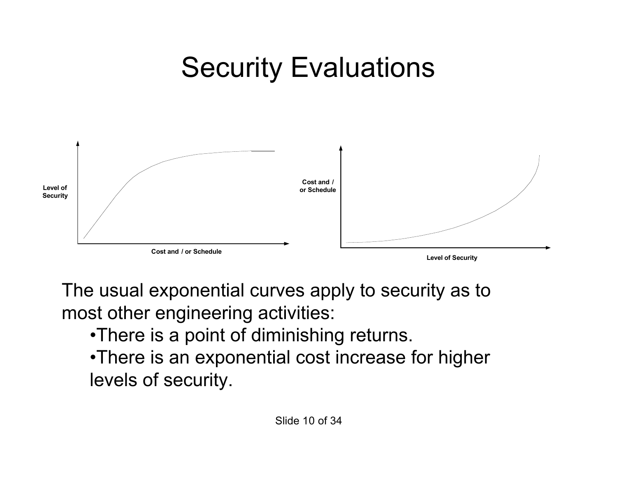### Security Evaluations



The usual exponential curves apply to security as to most other engineering activities:

•There is a point of diminishing returns.

•There is an exponential cost increase for higher levels of security.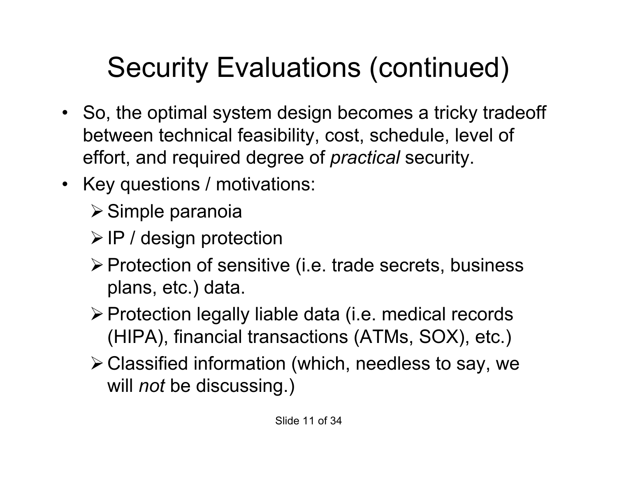# Security Evaluations (continued)

- So, the optimal system design becomes a tricky tradeoff between technical feasibility, cost, schedule, level of effort, and required degree of *practical* security.
- Key questions / motivations:
	- $\triangleright$  Simple paranoia
	- $\triangleright$  IP / design protection
	- > Protection of sensitive (i.e. trade secrets, business plans, etc.) data.
	- Protection legally liable data (i.e. medical records (HIPA), financial transactions (ATMs, SOX), etc.)
	- Classified information (which, needless to say, we will *not* be discussing.)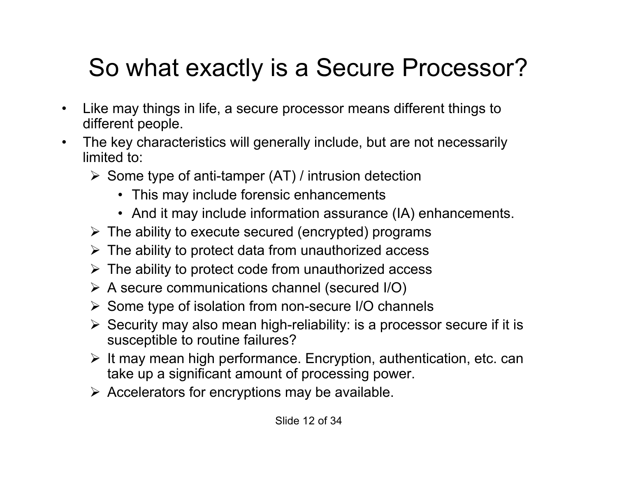### So what exactly is a Secure Processor?

- Like may things in life, a secure processor means different things to different people.
- The key characteristics will generally include, but are not necessarily limited to:
	- $\triangleright$  Some type of anti-tamper (AT) / intrusion detection
		- This may include forensic enhancements
		- And it may include information assurance (IA) enhancements.
	- $\triangleright$  The ability to execute secured (encrypted) programs
	- $\triangleright$  The ability to protect data from unauthorized access
	- $\triangleright$  The ability to protect code from unauthorized access
	- $\triangleright$  A secure communications channel (secured I/O)
	- $\triangleright$  Some type of isolation from non-secure I/O channels
	- $\triangleright$  Security may also mean high-reliability: is a processor secure if it is susceptible to routine failures?
	- $\triangleright$  It may mean high performance. Encryption, authentication, etc. can take up a significant amount of processing power.
	- $\triangleright$  Accelerators for encryptions may be available.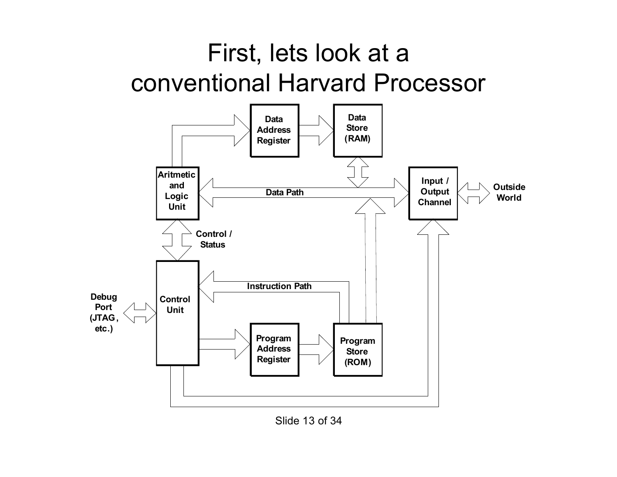#### First, lets look at a conventional Harvard Processor



Slide 13 of 34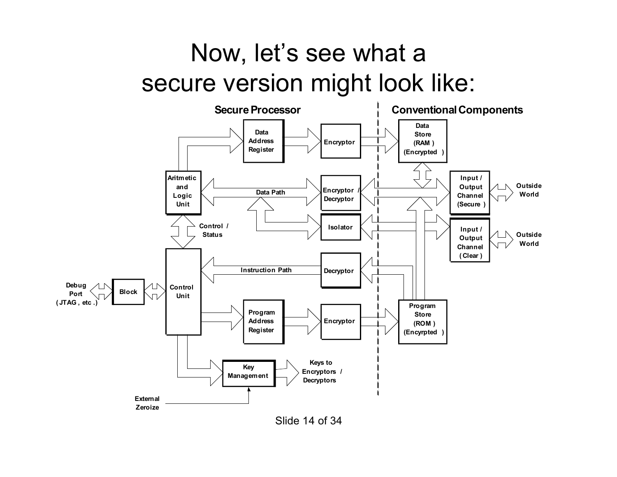#### Now, let's see what a secure version might look like:



Slide 14 of 34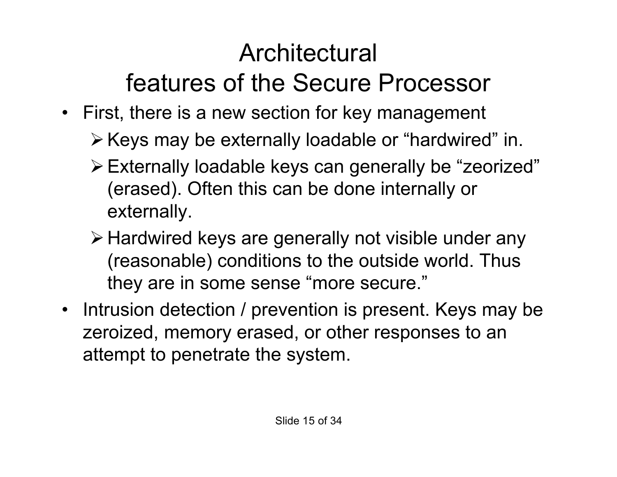### **Architectural** features of the Secure Processor

- First, there is a new section for key management
	- $\triangleright$  Keys may be externally loadable or "hardwired" in.
	- Externally loadable keys can generally be "zeorized" (erased). Often this can be done internally or externally.
	- Hardwired keys are generally not visible under any (reasonable) conditions to the outside world. Thus they are in some sense "more secure."
- Intrusion detection / prevention is present. Keys may be zeroized, memory erased, or other responses to an attempt to penetrate the system.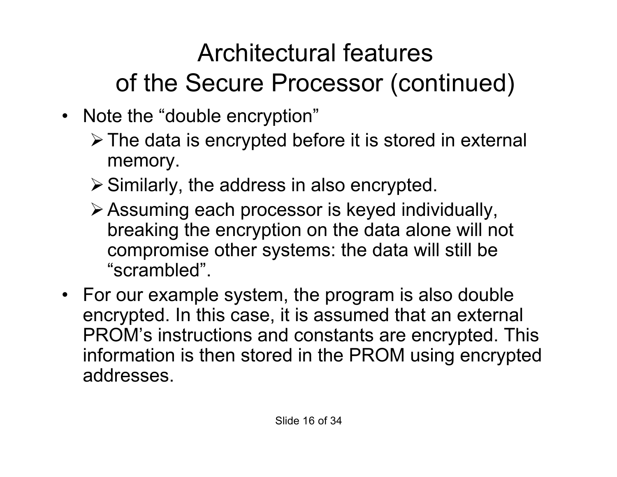### Architectural features of the Secure Processor (continued)

- Note the "double encryption"
	- $\triangleright$  The data is encrypted before it is stored in external memory.
	- $\triangleright$  Similarly, the address in also encrypted.
	- Assuming each processor is keyed individually, breaking the encryption on the data alone will not compromise other systems: the data will still be "scrambled".
- For our example system, the program is also double encrypted. In this case, it is assumed that an external PROM's instructions and constants are encrypted. This information is then stored in the PROM using encrypted addresses.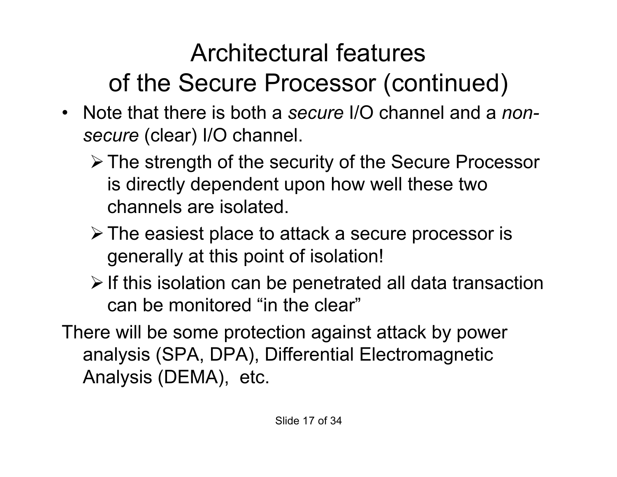### Architectural features of the Secure Processor (continued)

- Note that there is both a *secure* I/O channel and a *nonsecure* (clear) I/O channel.
	- The strength of the security of the Secure Processor is directly dependent upon how well these two channels are isolated.
	- The easiest place to attack a secure processor is generally at this point of isolation!
	- $\triangleright$  If this isolation can be penetrated all data transaction can be monitored "in the clear"

There will be some protection against attack by power analysis (SPA, DPA), Differential Electromagnetic Analysis (DEMA), etc.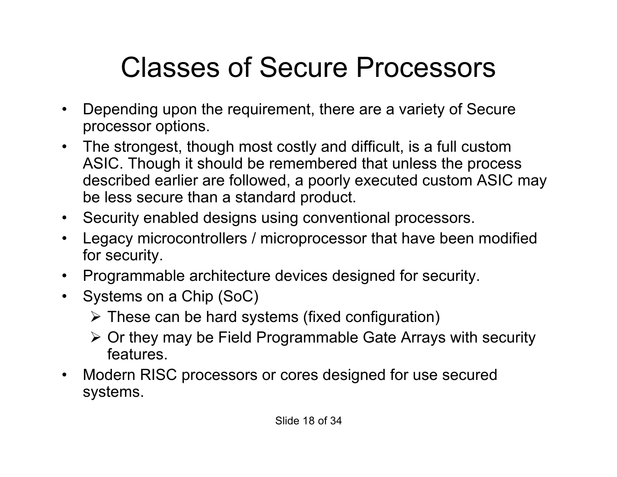## Classes of Secure Processors

- Depending upon the requirement, there are a variety of Secure processor options.
- The strongest, though most costly and difficult, is a full custom ASIC. Though it should be remembered that unless the process described earlier are followed, a poorly executed custom ASIC may be less secure than a standard product.
- Security enabled designs using conventional processors.
- Legacy microcontrollers / microprocessor that have been modified for security.
- Programmable architecture devices designed for security.
- Systems on a Chip (SoC)
	- $\triangleright$  These can be hard systems (fixed configuration)
	- Or they may be Field Programmable Gate Arrays with security features.
- Modern RISC processors or cores designed for use secured systems.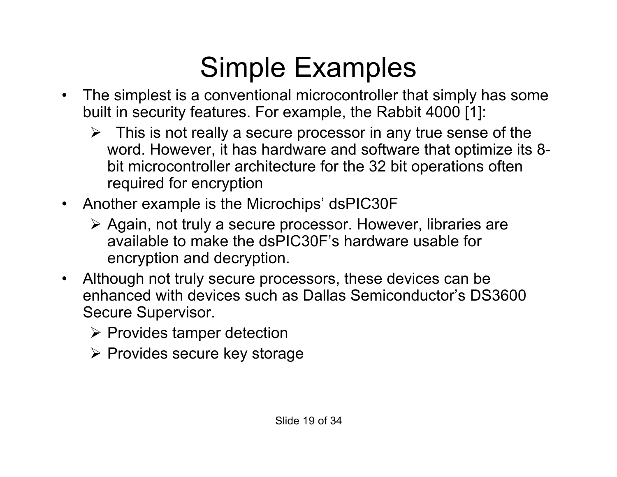## Simple Examples

- The simplest is a conventional microcontroller that simply has some built in security features. For example, the Rabbit 4000 [1]:
	- $\triangleright$  This is not really a secure processor in any true sense of the word. However, it has hardware and software that optimize its 8 bit microcontroller architecture for the 32 bit operations often required for encryption
- Another example is the Microchips' dsPIC30F
	- Again, not truly a secure processor. However, libraries are available to make the dsPIC30F's hardware usable for encryption and decryption.
- Although not truly secure processors, these devices can be enhanced with devices such as Dallas Semiconductor's DS3600 Secure Supervisor.
	- $\triangleright$  Provides tamper detection
	- $\triangleright$  Provides secure key storage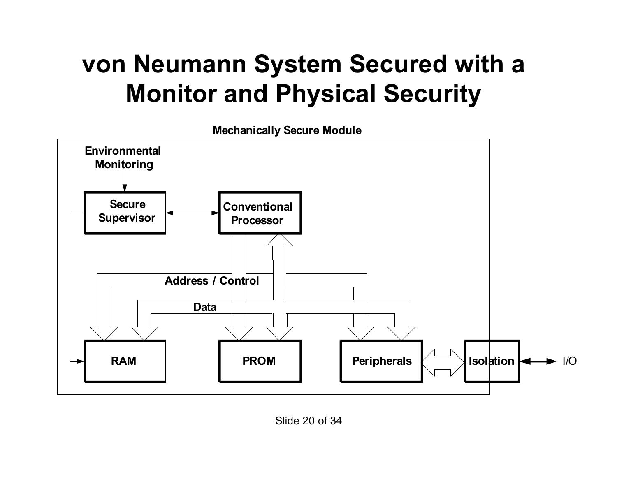#### **von Neumann System Secured with a Monitor and Physical Security**

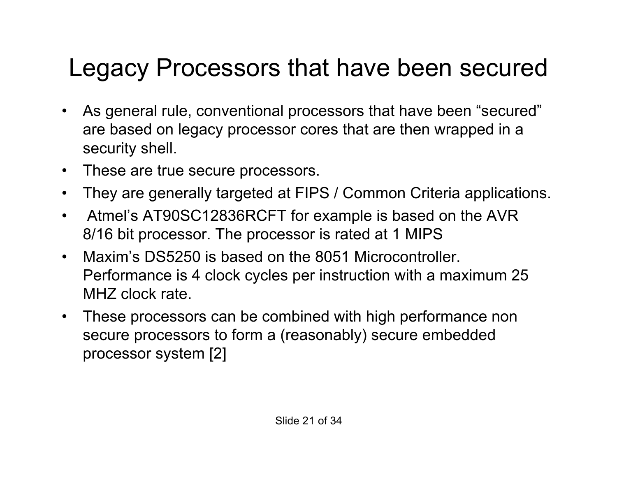#### Legacy Processors that have been secured

- As general rule, conventional processors that have been "secured" are based on legacy processor cores that are then wrapped in a security shell.
- These are true secure processors.
- They are generally targeted at FIPS / Common Criteria applications.
- Atmel's AT90SC12836RCFT for example is based on the AVR 8/16 bit processor. The processor is rated at 1 MIPS
- Maxim's DS5250 is based on the 8051 Microcontroller. Performance is 4 clock cycles per instruction with a maximum 25 MHZ clock rate.
- These processors can be combined with high performance non secure processors to form a (reasonably) secure embedded processor system [2]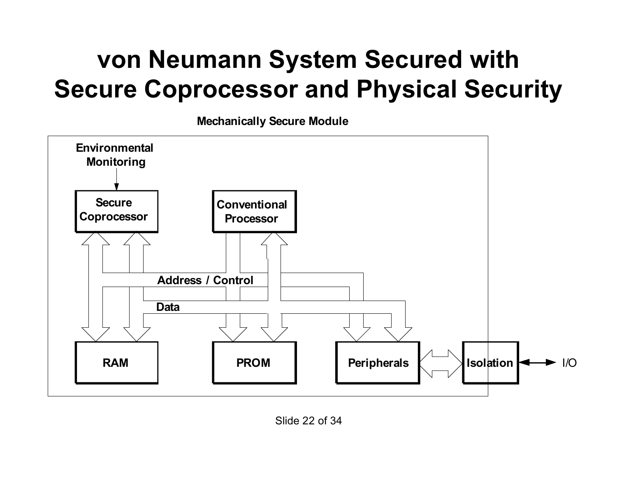#### **von Neumann System Secured with Secure Coprocessor and Physical Security**

**Mechanically Secure Module**

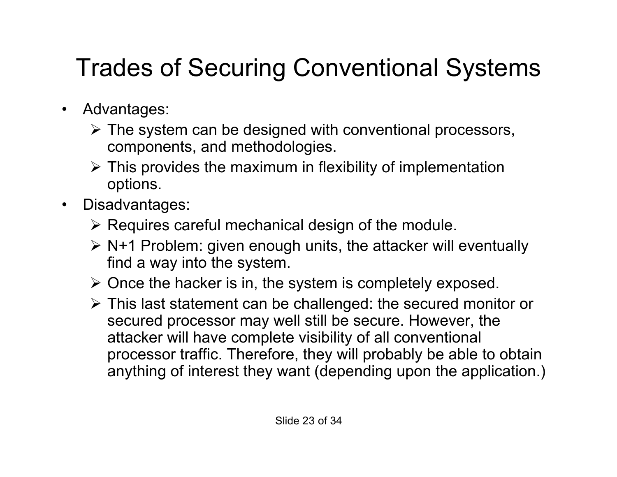### Trades of Securing Conventional Systems

- Advantages:
	- $\triangleright$  The system can be designed with conventional processors, components, and methodologies.
	- $\triangleright$  This provides the maximum in flexibility of implementation options.
- Disadvantages:
	- $\triangleright$  Requires careful mechanical design of the module.
	- $\triangleright$  N+1 Problem: given enough units, the attacker will eventually find a way into the system.
	- $\triangleright$  Once the hacker is in, the system is completely exposed.
	- This last statement can be challenged: the secured monitor or secured processor may well still be secure. However, the attacker will have complete visibility of all conventional processor traffic. Therefore, they will probably be able to obtain anything of interest they want (depending upon the application.)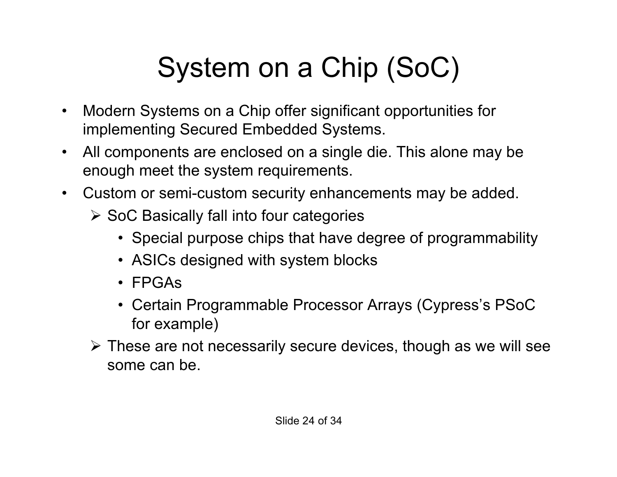# System on a Chip (SoC)

- Modern Systems on a Chip offer significant opportunities for implementing Secured Embedded Systems.
- All components are enclosed on a single die. This alone may be enough meet the system requirements.
- Custom or semi-custom security enhancements may be added.
	- $\triangleright$  SoC Basically fall into four categories
		- Special purpose chips that have degree of programmability
		- ASICs designed with system blocks
		- FPGAs
		- Certain Programmable Processor Arrays (Cypress's PSoC for example)
	- These are not necessarily secure devices, though as we will see some can be.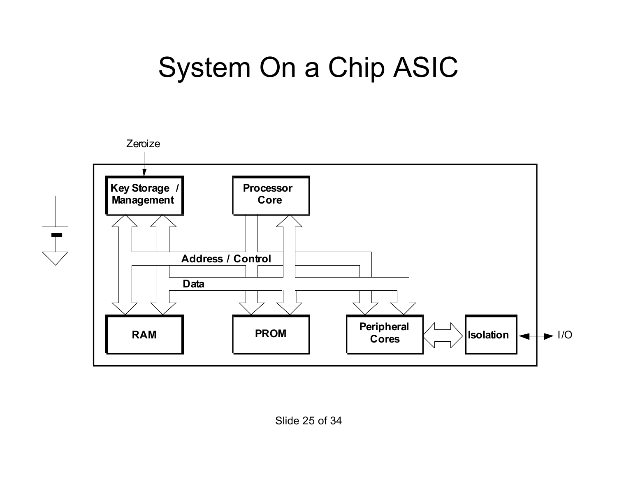### System On a Chip ASIC

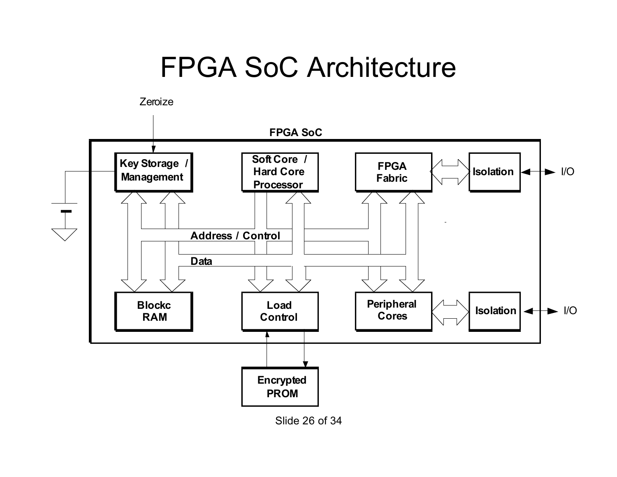### FPGA SoC Architecture





Slide 26 of 34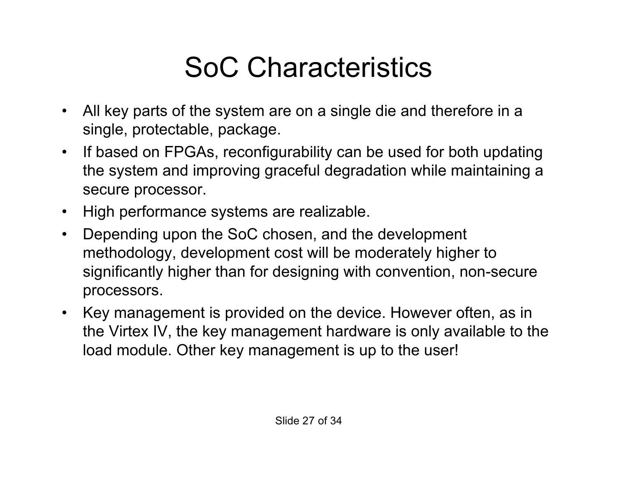## SoC Characteristics

- All key parts of the system are on a single die and therefore in a single, protectable, package.
- If based on FPGAs, reconfigurability can be used for both updating the system and improving graceful degradation while maintaining a secure processor.
- High performance systems are realizable.
- Depending upon the SoC chosen, and the development methodology, development cost will be moderately higher to significantly higher than for designing with convention, non-secure processors.
- Key management is provided on the device. However often, as in the Virtex IV, the key management hardware is only available to the load module. Other key management is up to the user!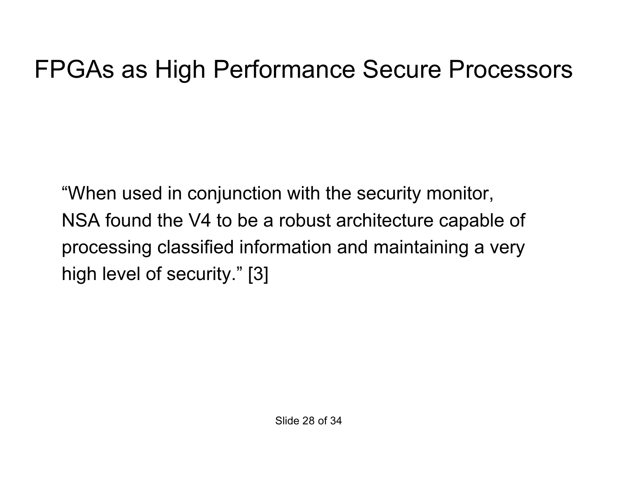#### FPGAs as High Performance Secure Processors

"When used in conjunction with the security monitor, NSA found the V4 to be a robust architecture capable of processing classified information and maintaining a very high level of security." [3]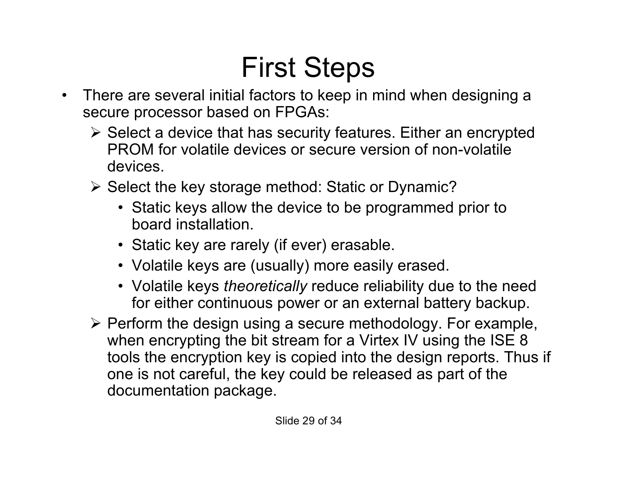## First Steps

- There are several initial factors to keep in mind when designing a secure processor based on FPGAs:
	- $\triangleright$  Select a device that has security features. Either an encrypted PROM for volatile devices or secure version of non-volatile devices.
	- $\triangleright$  Select the key storage method: Static or Dynamic?
		- Static keys allow the device to be programmed prior to board installation.
		- Static key are rarely (if ever) erasable.
		- Volatile keys are (usually) more easily erased.
		- Volatile keys *theoretically* reduce reliability due to the need for either continuous power or an external battery backup.
	- $\triangleright$  Perform the design using a secure methodology. For example, when encrypting the bit stream for a Virtex IV using the ISE 8 tools the encryption key is copied into the design reports. Thus if one is not careful, the key could be released as part of the documentation package.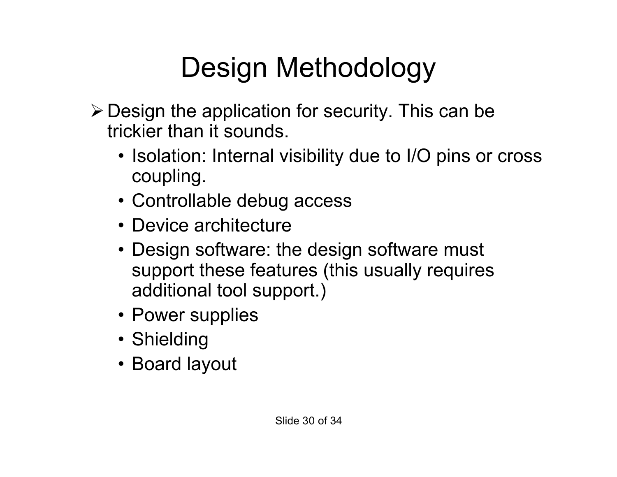# Design Methodology

- $\triangleright$  Design the application for security. This can be trickier than it sounds.
	- Isolation: Internal visibility due to I/O pins or cross coupling.
	- Controllable debug access
	- Device architecture
	- Design software: the design software must support these features (this usually requires additional tool support.)
	- Power supplies
	- Shielding
	- Board layout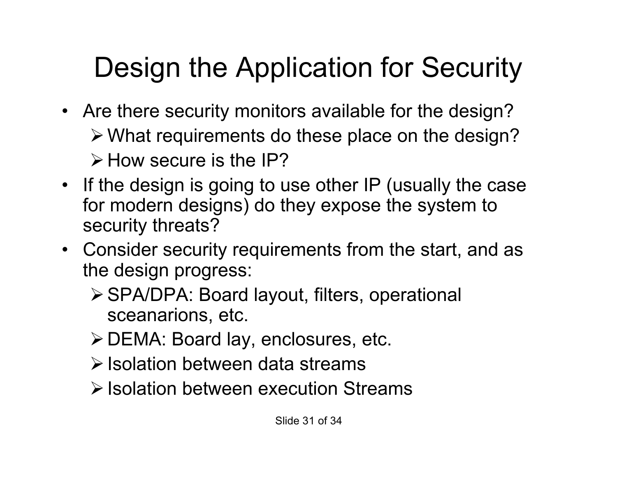# Design the Application for Security

- Are there security monitors available for the design? What requirements do these place on the design?  $\triangleright$  How secure is the IP?
- If the design is going to use other IP (usually the case for modern designs) do they expose the system to security threats?
- Consider security requirements from the start, and as the design progress:
	- SPA/DPA: Board layout, filters, operational sceanarions, etc.
	- DEMA: Board lay, enclosures, etc.
	- $\triangleright$  Isolation between data streams
	- $\triangleright$  Isolation between execution Streams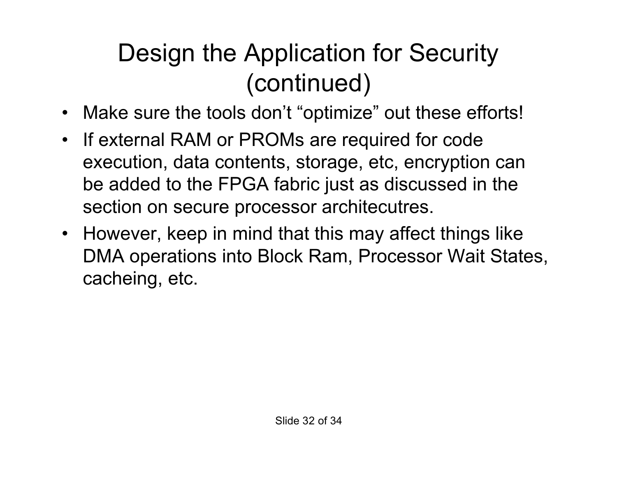### Design the Application for Security (continued)

- Make sure the tools don't "optimize" out these efforts!
- If external RAM or PROMs are required for code execution, data contents, storage, etc, encryption can be added to the FPGA fabric just as discussed in the section on secure processor architecutres.
- However, keep in mind that this may affect things like DMA operations into Block Ram, Processor Wait States, cacheing, etc.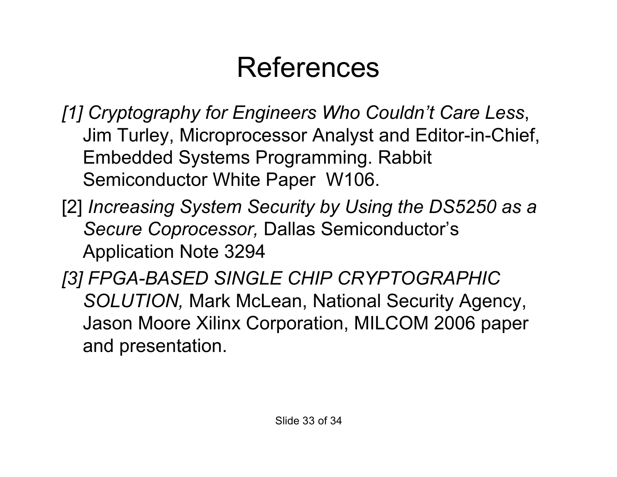## References

- *[1] Cryptography for Engineers Who Couldn't Care Less*, Jim Turley, Microprocessor Analyst and Editor-in-Chief, Embedded Systems Programming. Rabbit Semiconductor White Paper W106.
- [2] *Increasing System Security by Using the DS5250 as a Secure Coprocessor,* Dallas Semiconductor's Application Note 3294
- *[3] FPGA-BASED SINGLE CHIP CRYPTOGRAPHIC SOLUTION,* Mark McLean, National Security Agency, Jason Moore Xilinx Corporation, MILCOM 2006 paper and presentation.